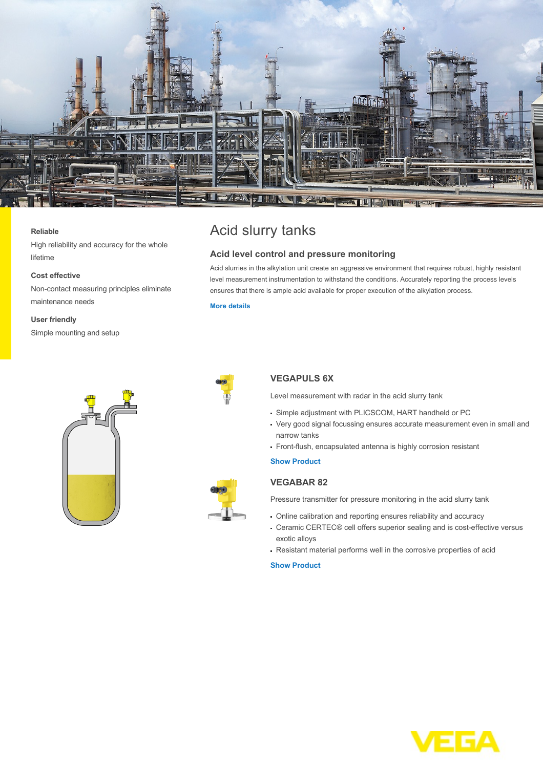

#### **Reliable**

High reliability and accuracy for the whole lifetime

#### **Cost effective**

Non-contact measuring principles eliminate maintenance needs

#### **User friendly**

Simple mounting and setup





# Acid slurry tanks

## **Acid level control and pressure monitoring**

Acid slurries in the alkylation unit create an aggressive environment that requires robust, highly resistant level measurement instrumentation to withstand the conditions. Accurately reporting the process levels ensures that there is ample acid available for proper execution of the alkylation process.

#### **[More details](http://localhost/en-us/industries/refining-petrochemical/acid-slurry-tanks)**



## **VEGAPULS 6X**

Level measurement with radar in the acid slurry tank

- Simple adjustment with PLICSCOM, HART handheld or PC
- Very good signal focussing ensures accurate measurement even in small and narrow tanks
- Front-flush, encapsulated antenna is highly corrosion resistant

#### **[Show Product](http://localhost/en-us/products/product-catalog/level/radar/vegapuls-6x)**

### **VEGABAR 82**

Pressure transmitter for pressure monitoring in the acid slurry tank

- Online calibration and reporting ensures reliability and accuracy
- Ceramic CERTEC® cell offers superior sealing and is cost-effective versus exotic alloys
- Resistant material performs well in the corrosive properties of acid

**[Show Product](http://localhost/en-us/products/product-catalog/pressure/process-pressure/vegabar-82)**